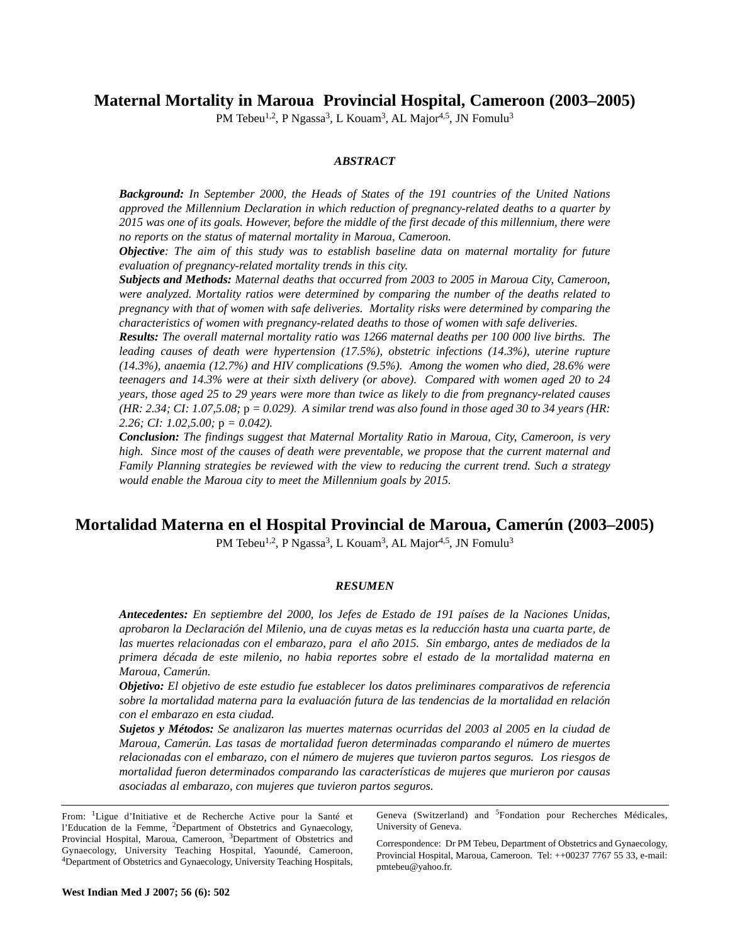**Maternal Mortality in Maroua Provincial Hospital, Cameroon (2003–2005)** 

PM Tebeu<sup>1,2</sup>, P Ngassa<sup>3</sup>, L Kouam<sup>3</sup>, AL Major<sup>4,5</sup>, JN Fomulu<sup>3</sup>

# *ABSTRACT*

*Background: In September 2000, the Heads of States of the 191 countries of the United Nations approved the Millennium Declaration in which reduction of pregnancy-related deaths to a quarter by 2015 was one of its goals. However, before the middle of the first decade of this millennium, there were no reports on the status of maternal mortality in Maroua, Cameroon.*

*Objective: The aim of this study was to establish baseline data on maternal mortality for future evaluation of pregnancy-related mortality trends in this city.*

*Subjects and Methods: Maternal deaths that occurred from 2003 to 2005 in Maroua City, Cameroon, were analyzed. Mortality ratios were determined by comparing the number of the deaths related to pregnancy with that of women with safe deliveries. Mortality risks were determined by comparing the characteristics of women with pregnancy-related deaths to those of women with safe deliveries.*

*Results: The overall maternal mortality ratio was 1266 maternal deaths per 100 000 live births. The leading causes of death were hypertension (17.5%), obstetric infections (14.3%), uterine rupture (14.3%), anaemia (12.7%) and HIV complications (9.5%). Among the women who died, 28.6% were teenagers and 14.3% were at their sixth delivery (or above). Compared with women aged 20 to 24 years, those aged 25 to 29 years were more than twice as likely to die from pregnancy-related causes (HR: 2.34; CI: 1.07,5.08;* p *= 0.029). A similar trend was also found in those aged 30 to 34 years (HR: 2.26; CI: 1.02,5.00;* p *= 0.042).* 

*Conclusion: The findings suggest that Maternal Mortality Ratio in Maroua, City, Cameroon, is very high. Since most of the causes of death were preventable, we propose that the current maternal and Family Planning strategies be reviewed with the view to reducing the current trend. Such a strategy would enable the Maroua city to meet the Millennium goals by 2015.*

# **Mortalidad Materna en el Hospital Provincial de Maroua, Camerún (2003–2005)**

PM Tebeu<sup>1,2</sup>, P Ngassa<sup>3</sup>, L Kouam<sup>3</sup>, AL Major<sup>4,5</sup>, JN Fomulu<sup>3</sup>

## *RESUMEN*

*Antecedentes: En septiembre del 2000, los Jefes de Estado de 191 países de la Naciones Unidas, aprobaron la Declaración del Milenio, una de cuyas metas es la reducción hasta una cuarta parte, de las muertes relacionadas con el embarazo, para el año 2015. Sin embargo, antes de mediados de la primera década de este milenio, no habia reportes sobre el estado de la mortalidad materna en Maroua, Camerún.* 

*Objetivo: El objetivo de este estudio fue establecer los datos preliminares comparativos de referencia sobre la mortalidad materna para la evaluación futura de las tendencias de la mortalidad en relación con el embarazo en esta ciudad.* 

*Sujetos y Métodos: Se analizaron las muertes maternas ocurridas del 2003 al 2005 en la ciudad de Maroua, Camerún. Las tasas de mortalidad fueron determinadas comparando el número de muertes relacionadas con el embarazo, con el número de mujeres que tuvieron partos seguros. Los riesgos de mortalidad fueron determinados comparando las características de mujeres que murieron por causas asociadas al embarazo, con mujeres que tuvieron partos seguros.* 

From: 1Ligue d'Initiative et de Recherche Active pour la Santé et l'Education de la Femme, 2Department of Obstetrics and Gynaecology, Provincial Hospital, Maroua, Cameroon, <sup>3</sup>Department of Obstetrics and Gynaecology, University Teaching Hospital, Yaoundé, Cameroon, <sup>4</sup>Department of Obstetrics and Gynaecology, University Teaching Hospitals, Geneva (Switzerland) and <sup>5</sup>Fondation pour Recherches Médicales, University of Geneva.

Correspondence: Dr PM Tebeu, Department of Obstetrics and Gynaecology, Provincial Hospital, Maroua, Cameroon. Tel: ++00237 7767 55 33, e-mail: pmtebeu@yahoo.fr.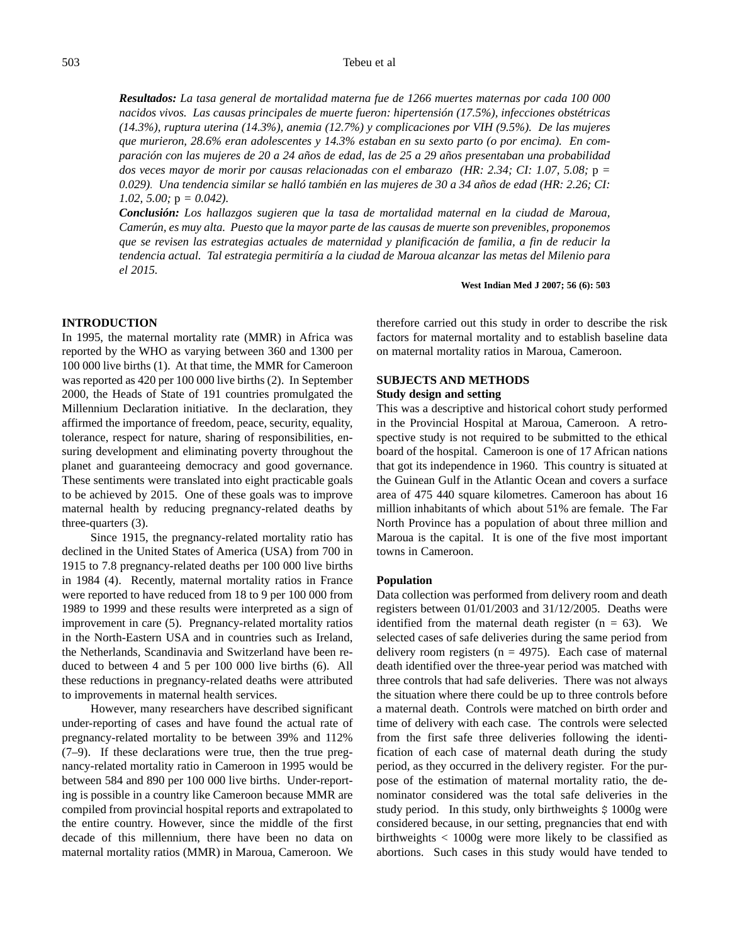## Tebeu et al

*Resultados: La tasa general de mortalidad materna fue de 1266 muertes maternas por cada 100 000 nacidos vivos. Las causas principales de muerte fueron: hipertensión (17.5%), infecciones obstétricas (14.3%), ruptura uterina (14.3%), anemia (12.7%) y complicaciones por VIH (9.5%). De las mujeres que murieron, 28.6% eran adolescentes y 14.3% estaban en su sexto parto (o por encima). En comparación con las mujeres de 20 a 24 años de edad, las de 25 a 29 años presentaban una probabilidad dos veces mayor de morir por causas relacionadas con el embarazo (HR: 2.34; CI: 1.07, 5.08;* p *= 0.029). Una tendencia similar se halló también en las mujeres de 30 a 34 años de edad (HR: 2.26; CI: 1.02, 5.00;* p *= 0.042).* 

*Conclusión: Los hallazgos sugieren que la tasa de mortalidad maternal en la ciudad de Maroua, Camerún, es muy alta. Puesto que la mayor parte de las causas de muerte son prevenibles, proponemos que se revisen las estrategias actuales de maternidad y planificación de familia, a fin de reducir la tendencia actual. Tal estrategia permitiría a la ciudad de Maroua alcanzar las metas del Milenio para el 2015.* 

**West Indian Med J 2007; 56 (6): 503**

## **INTRODUCTION**

In 1995, the maternal mortality rate (MMR) in Africa was reported by the WHO as varying between 360 and 1300 per 100 000 live births (1). At that time, the MMR for Cameroon was reported as 420 per 100 000 live births (2). In September 2000, the Heads of State of 191 countries promulgated the Millennium Declaration initiative. In the declaration, they affirmed the importance of freedom, peace, security, equality, tolerance, respect for nature, sharing of responsibilities, ensuring development and eliminating poverty throughout the planet and guaranteeing democracy and good governance. These sentiments were translated into eight practicable goals to be achieved by 2015. One of these goals was to improve maternal health by reducing pregnancy-related deaths by three-quarters (3).

Since 1915, the pregnancy-related mortality ratio has declined in the United States of America (USA) from 700 in 1915 to 7.8 pregnancy-related deaths per 100 000 live births in 1984 (4). Recently, maternal mortality ratios in France were reported to have reduced from 18 to 9 per 100 000 from 1989 to 1999 and these results were interpreted as a sign of improvement in care (5). Pregnancy-related mortality ratios in the North-Eastern USA and in countries such as Ireland, the Netherlands, Scandinavia and Switzerland have been reduced to between 4 and 5 per 100 000 live births (6). All these reductions in pregnancy-related deaths were attributed to improvements in maternal health services.

However, many researchers have described significant under-reporting of cases and have found the actual rate of pregnancy-related mortality to be between 39% and 112% (7–9). If these declarations were true, then the true pregnancy-related mortality ratio in Cameroon in 1995 would be between 584 and 890 per 100 000 live births. Under-reporting is possible in a country like Cameroon because MMR are compiled from provincial hospital reports and extrapolated to the entire country. However, since the middle of the first decade of this millennium, there have been no data on maternal mortality ratios (MMR) in Maroua, Cameroon. We therefore carried out this study in order to describe the risk factors for maternal mortality and to establish baseline data on maternal mortality ratios in Maroua, Cameroon.

# **SUBJECTS AND METHODS**

# **Study design and setting**

This was a descriptive and historical cohort study performed in the Provincial Hospital at Maroua, Cameroon. A retrospective study is not required to be submitted to the ethical board of the hospital. Cameroon is one of 17 African nations that got its independence in 1960. This country is situated at the Guinean Gulf in the Atlantic Ocean and covers a surface area of 475 440 square kilometres. Cameroon has about 16 million inhabitants of which about 51% are female. The Far North Province has a population of about three million and Maroua is the capital. It is one of the five most important towns in Cameroon.

#### **Population**

Data collection was performed from delivery room and death registers between 01/01/2003 and 31/12/2005. Deaths were identified from the maternal death register  $(n = 63)$ . We selected cases of safe deliveries during the same period from delivery room registers ( $n = 4975$ ). Each case of maternal death identified over the three-year period was matched with three controls that had safe deliveries. There was not always the situation where there could be up to three controls before a maternal death. Controls were matched on birth order and time of delivery with each case. The controls were selected from the first safe three deliveries following the identification of each case of maternal death during the study period, as they occurred in the delivery register. For the purpose of the estimation of maternal mortality ratio, the denominator considered was the total safe deliveries in the study period. In this study, only birthweights  $\frac{1000g}{g}$  were considered because, in our setting, pregnancies that end with birthweights < 1000g were more likely to be classified as abortions. Such cases in this study would have tended to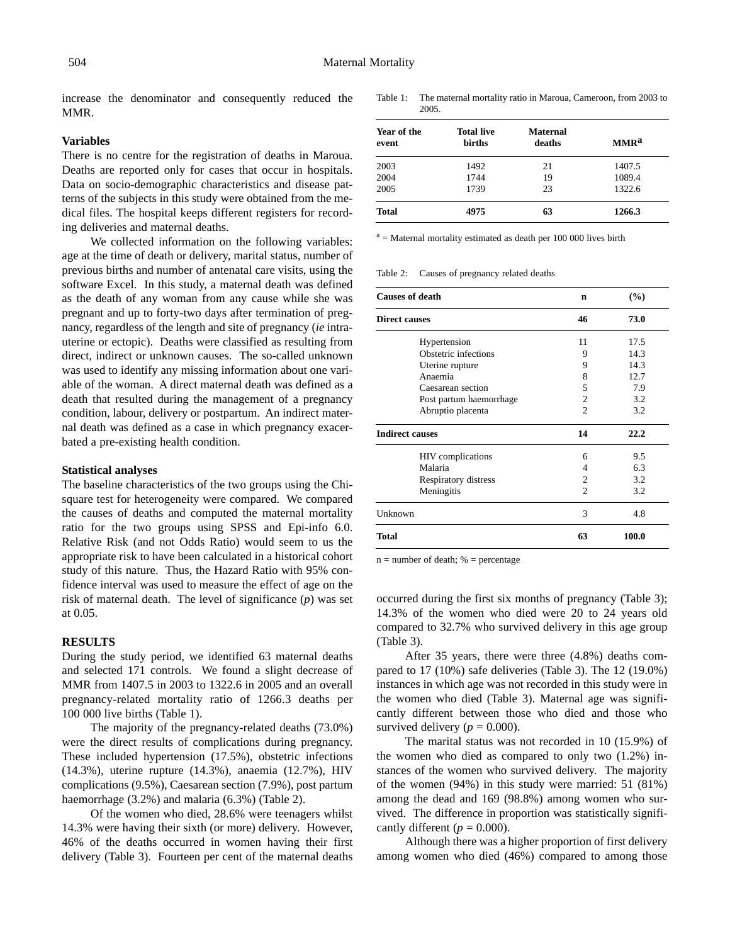increase the denominator and consequently reduced the MMR.

### **Variables**

There is no centre for the registration of deaths in Maroua. Deaths are reported only for cases that occur in hospitals. Data on socio-demographic characteristics and disease patterns of the subjects in this study were obtained from the medical files. The hospital keeps different registers for recording deliveries and maternal deaths.

We collected information on the following variables: age at the time of death or delivery, marital status, number of previous births and number of antenatal care visits, using the software Excel. In this study, a maternal death was defined as the death of any woman from any cause while she was pregnant and up to forty-two days after termination of pregnancy, regardless of the length and site of pregnancy (*ie* intrauterine or ectopic). Deaths were classified as resulting from direct, indirect or unknown causes. The so-called unknown was used to identify any missing information about one variable of the woman. A direct maternal death was defined as a death that resulted during the management of a pregnancy condition, labour, delivery or postpartum. An indirect maternal death was defined as a case in which pregnancy exacerbated a pre-existing health condition.

#### **Statistical analyses**

The baseline characteristics of the two groups using the Chisquare test for heterogeneity were compared. We compared the causes of deaths and computed the maternal mortality ratio for the two groups using SPSS and Epi-info 6.0. Relative Risk (and not Odds Ratio) would seem to us the appropriate risk to have been calculated in a historical cohort study of this nature. Thus, the Hazard Ratio with 95% confidence interval was used to measure the effect of age on the risk of maternal death. The level of significance (*p*) was set at 0.05.

# **RESULTS**

During the study period, we identified 63 maternal deaths and selected 171 controls. We found a slight decrease of MMR from 1407.5 in 2003 to 1322.6 in 2005 and an overall pregnancy-related mortality ratio of 1266.3 deaths per 100 000 live births (Table 1).

The majority of the pregnancy-related deaths (73.0%) were the direct results of complications during pregnancy. These included hypertension (17.5%), obstetric infections (14.3%), uterine rupture (14.3%), anaemia (12.7%), HIV complications (9.5%), Caesarean section (7.9%), post partum haemorrhage (3.2%) and malaria (6.3%) (Table 2).

Of the women who died, 28.6% were teenagers whilst 14.3% were having their sixth (or more) delivery. However, 46% of the deaths occurred in women having their first delivery (Table 3). Fourteen per cent of the maternal deaths Table 1: The maternal mortality ratio in Maroua, Cameroon, from 2003 to 2005.

| Year of the<br>event | <b>Total live</b><br><b>births</b> | <b>Maternal</b><br>deaths | MMR <sup>a</sup> |
|----------------------|------------------------------------|---------------------------|------------------|
| 2003                 | 1492                               | 21                        | 1407.5           |
| 2004                 | 1744                               | 19                        | 1089.4           |
| 2005                 | 1739                               | 23                        | 1322.6           |
| <b>Total</b>         | 4975                               | 63                        | 1266.3           |

 $a =$  Maternal mortality estimated as death per 100 000 lives birth

Table 2: Causes of pregnancy related deaths

| <b>Causes of death</b> |                          | n              | (%)   |
|------------------------|--------------------------|----------------|-------|
| <b>Direct causes</b>   |                          | 46             | 73.0  |
|                        | Hypertension             | 11             | 17.5  |
|                        | Obstetric infections     | 9              | 14.3  |
|                        | Uterine rupture          | 9              | 14.3  |
|                        | Anaemia                  | 8              | 12.7  |
|                        | Caesarean section        | 5              | 7.9   |
|                        | Post partum haemorrhage  | $\overline{2}$ | 3.2   |
|                        | Abruptio placenta        | $\overline{c}$ | 3.2   |
| <b>Indirect causes</b> |                          | 14             | 22.2  |
|                        | <b>HIV</b> complications | 6              | 9.5   |
|                        | Malaria                  | 4              | 6.3   |
|                        | Respiratory distress     | 2              | 3.2   |
|                        | Meningitis               | $\mathfrak{D}$ | 3.2   |
| Unknown                |                          | 3              | 4.8   |
| Total                  |                          | 63             | 100.0 |

 $n =$  number of death;  $%$  = percentage

occurred during the first six months of pregnancy (Table 3); 14.3% of the women who died were 20 to 24 years old compared to 32.7% who survived delivery in this age group (Table 3).

After 35 years, there were three (4.8%) deaths compared to 17 (10%) safe deliveries (Table 3). The 12 (19.0%) instances in which age was not recorded in this study were in the women who died (Table 3). Maternal age was significantly different between those who died and those who survived delivery ( $p = 0.000$ ).

The marital status was not recorded in 10 (15.9%) of the women who died as compared to only two (1.2%) instances of the women who survived delivery. The majority of the women (94%) in this study were married: 51 (81%) among the dead and 169 (98.8%) among women who survived. The difference in proportion was statistically significantly different ( $p = 0.000$ ).

Although there was a higher proportion of first delivery among women who died (46%) compared to among those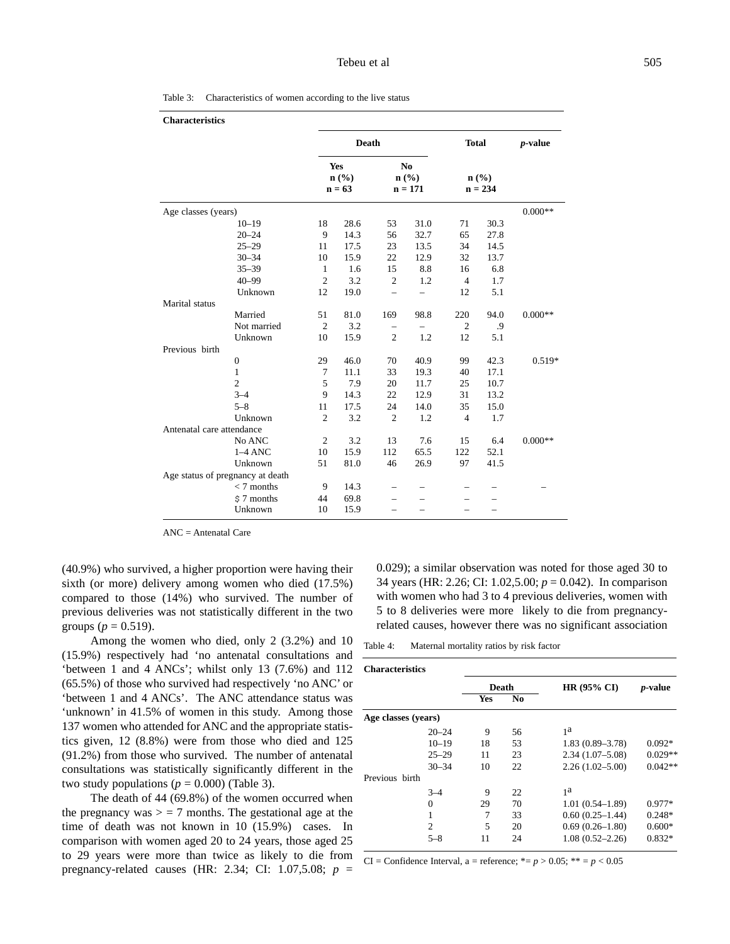| <b>Characteristics</b>           |                |                                                                            |                |              |                |                   |           |
|----------------------------------|----------------|----------------------------------------------------------------------------|----------------|--------------|----------------|-------------------|-----------|
|                                  |                | Death<br>Yes<br>N <sub>0</sub><br>n(%)<br>$n$ (%)<br>$n = 63$<br>$n = 171$ |                | <b>Total</b> |                | $p$ -value        |           |
|                                  |                |                                                                            |                |              |                | n(%)<br>$n = 234$ |           |
| Age classes (years)              |                |                                                                            |                |              |                |                   | $0.000**$ |
| $10 - 19$                        | 18             | 28.6                                                                       | 53             | 31.0         | 71             | 30.3              |           |
| $20 - 24$                        | 9              | 14.3                                                                       | 56             | 32.7         | 65             | 27.8              |           |
| $25 - 29$                        | 11             | 17.5                                                                       | 23             | 13.5         | 34             | 14.5              |           |
| $30 - 34$                        | 10             | 15.9                                                                       | 22             | 12.9         | 32             | 13.7              |           |
| $35 - 39$                        | 1              | 1.6                                                                        | 15             | 8.8          | 16             | 6.8               |           |
| $40 - 99$                        | $\mathfrak{2}$ | 3.2                                                                        | $\overline{c}$ | 1.2          | $\overline{4}$ | 1.7               |           |
| Unknown                          | 12             | 19.0                                                                       |                |              | 12             | 5.1               |           |
| Marital status                   |                |                                                                            |                |              |                |                   |           |
| Married                          | 51             | 81.0                                                                       | 169            | 98.8         | 220            | 94.0              | $0.000**$ |
| Not married                      | $\mathfrak{2}$ | 3.2                                                                        |                |              | $\overline{2}$ | .9                |           |
| Unknown                          | 10             | 15.9                                                                       | $\overline{c}$ | 1.2          | 12             | 5.1               |           |
| Previous birth                   |                |                                                                            |                |              |                |                   |           |
| $\boldsymbol{0}$                 | 29             | 46.0                                                                       | 70             | 40.9         | 99             | 42.3              | $0.519*$  |
| $\mathbf{1}$                     | 7              | 11.1                                                                       | 33             | 19.3         | 40             | 17.1              |           |
| $\overline{c}$                   | 5              | 7.9                                                                        | 20             | 11.7         | 25             | 10.7              |           |
| $3 - 4$                          | 9              | 14.3                                                                       | 22             | 12.9         | 31             | 13.2              |           |
| $5 - 8$                          | 11             | 17.5                                                                       | 24             | 14.0         | 35             | 15.0              |           |
| Unknown                          | $\overline{c}$ | 3.2                                                                        | $\overline{2}$ | 1.2          | $\overline{4}$ | 1.7               |           |
| Antenatal care attendance        |                |                                                                            |                |              |                |                   |           |
| No ANC                           | $\mathfrak{2}$ | 3.2                                                                        | 13             | 7.6          | 15             | 6.4               | $0.000**$ |
| $1-4$ ANC                        | 10             | 15.9                                                                       | 112            | 65.5         | 122            | 52.1              |           |
| Unknown                          | 51             | 81.0                                                                       | 46             | 26.9         | 97             | 41.5              |           |
| Age status of pregnancy at death |                |                                                                            |                |              |                |                   |           |
| $< 7$ months                     | 9              | 14.3                                                                       |                |              |                |                   |           |
| $$7$ months                      | 44             | 69.8                                                                       |                |              |                |                   |           |
| Unknown                          | 10             | 15.9                                                                       | —              |              |                |                   |           |

Table 3: Characteristics of women according to the live status

ANC = Antenatal Care

(40.9%) who survived, a higher proportion were having their sixth (or more) delivery among women who died (17.5%) compared to those (14%) who survived. The number of previous deliveries was not statistically different in the two groups ( $p = 0.519$ ).

Among the women who died, only 2 (3.2%) and 10 (15.9%) respectively had 'no antenatal consultations and 'between 1 and 4 ANCs'; whilst only 13 (7.6%) and 112 (65.5%) of those who survived had respectively 'no ANC' or 'between 1 and 4 ANCs'. The ANC attendance status was 'unknown' in 41.5% of women in this study. Among those 137 women who attended for ANC and the appropriate statistics given, 12 (8.8%) were from those who died and 125 (91.2%) from those who survived. The number of antenatal consultations was statistically significantly different in the two study populations ( $p = 0.000$ ) (Table 3).

The death of 44 (69.8%) of the women occurred when the pregnancy was  $>$  = 7 months. The gestational age at the time of death was not known in 10 (15.9%) cases. In comparison with women aged 20 to 24 years, those aged 25 to 29 years were more than twice as likely to die from pregnancy-related causes (HR: 2.34; CI: 1.07,5.08; *p* =

0.029); a similar observation was noted for those aged 30 to 34 years (HR: 2.26; CI: 1.02,5.00; *p* = 0.042). In comparison with women who had 3 to 4 previous deliveries, women with 5 to 8 deliveries were more likely to die from pregnancyrelated causes, however there was no significant association

Table 4: Maternal mortality ratios by risk factor

| <b>Characteristics</b> |                |            |    |                        |                 |
|------------------------|----------------|------------|----|------------------------|-----------------|
|                        |                | Death      |    | HR $(95\% \text{ CI})$ | <i>p</i> -value |
|                        |                | <b>Yes</b> | No |                        |                 |
| Age classes (years)    |                |            |    |                        |                 |
|                        | $20 - 24$      | 9          | 56 | 1 <sup>a</sup>         |                 |
|                        | $10 - 19$      | 18         | 53 | $1.83(0.89 - 3.78)$    | $0.092*$        |
|                        | $25 - 29$      | 11         | 23 | $2.34(1.07-5.08)$      | $0.029**$       |
|                        | $30 - 34$      | 10         | 22 | $2.26(1.02 - 5.00)$    | $0.042**$       |
| Previous birth         |                |            |    |                        |                 |
|                        | $3 - 4$        | 9          | 22 | 1 <sup>a</sup>         |                 |
|                        | 0              | 29         | 70 | $1.01(0.54 - 1.89)$    | $0.977*$        |
|                        |                | 7          | 33 | $0.60(0.25-1.44)$      | $0.248*$        |
|                        | $\overline{c}$ | 5          | 20 | $0.69(0.26 - 1.80)$    | $0.600*$        |
|                        | $5 - 8$        | 11         | 24 | $1.08(0.52 - 2.26)$    | $0.832*$        |

CI = Confidence Interval, a = reference;  $* = p > 0.05$ ;  $** = p < 0.05$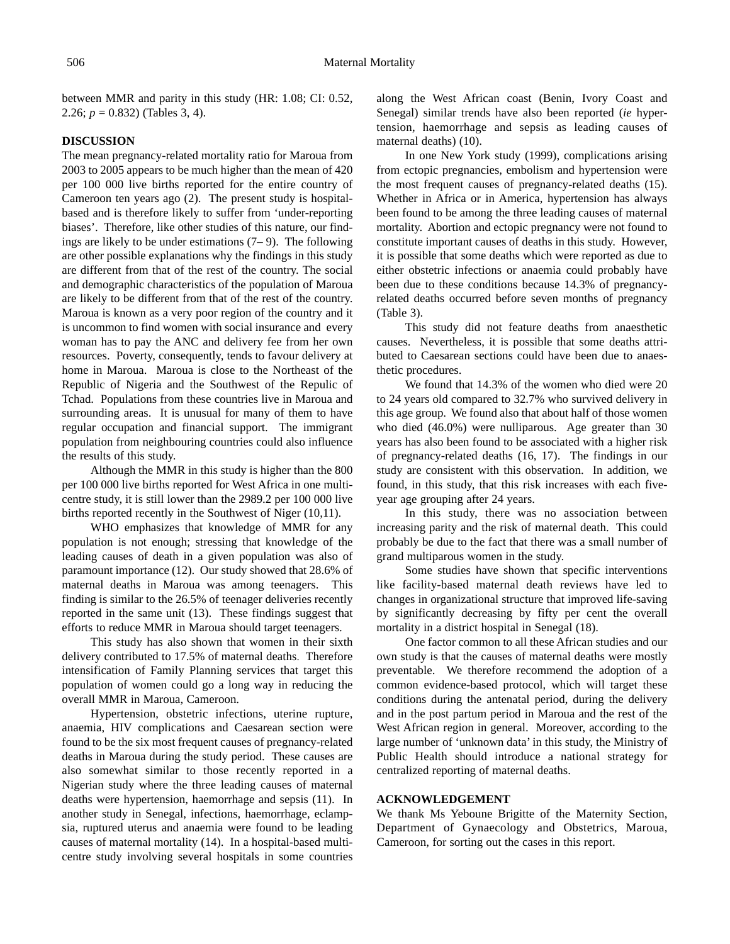between MMR and parity in this study (HR: 1.08; CI: 0.52, 2.26; *p* = 0.832) (Tables 3, 4).

## **DISCUSSION**

The mean pregnancy-related mortality ratio for Maroua from 2003 to 2005 appears to be much higher than the mean of 420 per 100 000 live births reported for the entire country of Cameroon ten years ago (2). The present study is hospitalbased and is therefore likely to suffer from 'under-reporting biases'. Therefore, like other studies of this nature, our findings are likely to be under estimations (7– 9). The following are other possible explanations why the findings in this study are different from that of the rest of the country. The social and demographic characteristics of the population of Maroua are likely to be different from that of the rest of the country. Maroua is known as a very poor region of the country and it is uncommon to find women with social insurance and every woman has to pay the ANC and delivery fee from her own resources. Poverty, consequently, tends to favour delivery at home in Maroua. Maroua is close to the Northeast of the Republic of Nigeria and the Southwest of the Repulic of Tchad. Populations from these countries live in Maroua and surrounding areas. It is unusual for many of them to have regular occupation and financial support. The immigrant population from neighbouring countries could also influence the results of this study.

Although the MMR in this study is higher than the 800 per 100 000 live births reported for West Africa in one multicentre study, it is still lower than the 2989.2 per 100 000 live births reported recently in the Southwest of Niger (10,11).

WHO emphasizes that knowledge of MMR for any population is not enough; stressing that knowledge of the leading causes of death in a given population was also of paramount importance (12). Our study showed that 28.6% of maternal deaths in Maroua was among teenagers. This finding is similar to the 26.5% of teenager deliveries recently reported in the same unit (13). These findings suggest that efforts to reduce MMR in Maroua should target teenagers.

This study has also shown that women in their sixth delivery contributed to 17.5% of maternal deaths. Therefore intensification of Family Planning services that target this population of women could go a long way in reducing the overall MMR in Maroua, Cameroon.

Hypertension, obstetric infections, uterine rupture, anaemia, HIV complications and Caesarean section were found to be the six most frequent causes of pregnancy-related deaths in Maroua during the study period. These causes are also somewhat similar to those recently reported in a Nigerian study where the three leading causes of maternal deaths were hypertension, haemorrhage and sepsis (11). In another study in Senegal, infections, haemorrhage, eclampsia, ruptured uterus and anaemia were found to be leading causes of maternal mortality (14). In a hospital-based multicentre study involving several hospitals in some countries along the West African coast (Benin, Ivory Coast and Senegal) similar trends have also been reported (*ie* hypertension, haemorrhage and sepsis as leading causes of maternal deaths) (10).

In one New York study (1999), complications arising from ectopic pregnancies, embolism and hypertension were the most frequent causes of pregnancy-related deaths (15). Whether in Africa or in America, hypertension has always been found to be among the three leading causes of maternal mortality. Abortion and ectopic pregnancy were not found to constitute important causes of deaths in this study. However, it is possible that some deaths which were reported as due to either obstetric infections or anaemia could probably have been due to these conditions because 14.3% of pregnancyrelated deaths occurred before seven months of pregnancy (Table 3).

This study did not feature deaths from anaesthetic causes. Nevertheless, it is possible that some deaths attributed to Caesarean sections could have been due to anaesthetic procedures.

We found that 14.3% of the women who died were 20 to 24 years old compared to 32.7% who survived delivery in this age group. We found also that about half of those women who died (46.0%) were nulliparous. Age greater than 30 years has also been found to be associated with a higher risk of pregnancy-related deaths (16, 17). The findings in our study are consistent with this observation. In addition, we found, in this study, that this risk increases with each fiveyear age grouping after 24 years.

In this study, there was no association between increasing parity and the risk of maternal death. This could probably be due to the fact that there was a small number of grand multiparous women in the study.

Some studies have shown that specific interventions like facility-based maternal death reviews have led to changes in organizational structure that improved life-saving by significantly decreasing by fifty per cent the overall mortality in a district hospital in Senegal (18).

One factor common to all these African studies and our own study is that the causes of maternal deaths were mostly preventable. We therefore recommend the adoption of a common evidence-based protocol, which will target these conditions during the antenatal period, during the delivery and in the post partum period in Maroua and the rest of the West African region in general. Moreover, according to the large number of 'unknown data' in this study, the Ministry of Public Health should introduce a national strategy for centralized reporting of maternal deaths.

# **ACKNOWLEDGEMENT**

We thank Ms Yeboune Brigitte of the Maternity Section, Department of Gynaecology and Obstetrics, Maroua, Cameroon, for sorting out the cases in this report.